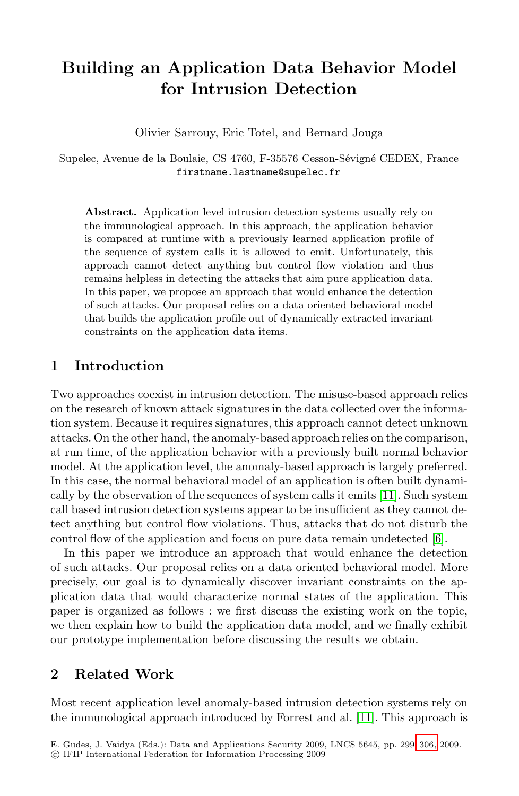# **Building an Application Data Behavior Model for Intrusion Detection**

Olivier Sarrouy, Eric Totel, and Bernard Jouga

Supelec, Avenue de la Boulaie, CS 4760, F-35576 Cesson-Sévigné CEDEX, France firstname.lastname@supelec.fr

**Abstract.** Application level intrusion detection systems usually rely on the immunological approach. In this approach, the application behavior is compared at runtime with a previously learned application profile of the sequence of system calls it is allowed to emit. Unfortunately, this approach cannot detect anything but control flow violation and thus remains helpless in detecting the attacks that aim pure application data. In this paper, we propose an approach that would enhance the detection of such attacks. Our proposal relies on a data oriented behavioral model that builds the application profile out of dynamically extracted invariant constraints on the application data items.

### **1 Introduction**

Two approaches coexist in intrusion detection. The misuse-based approach relies on the research of known attack signatures in the data collected over the information system. Because it requires signatures, this approach cannot detect unknown attacks. On the other hand, the anomaly-based approach relies on the comparison, at run time, of the application behavior with a previously built normal behavior model. At the application level, the anomaly-based approach is largely preferred. In this case, the normal behavioral model of an application is often built dynamically by the observation of the sequences of system calls it emits [\[11\]](#page-7-0). Such system call based intrusion detection systems appear to be insufficient as they cannot detect anything but control flow violations. Thus, attacks that do not disturb the control flow of the application and focus on pure data remain undetected [\[6\]](#page-7-1).

In this paper we introduce an approach that would enhance the detection of such attacks. Our proposal relies on a data oriented behavioral model. More precisely, our goal is to dynamically discover invariant constraints on the application data that would characterize normal states of the application. This paper is organized as follows : we first discuss the existing work on the topic, we then explain how to build the application data model, and we finally exhibit our prototype implementation before discussing the results we obtain.

### **2 Related Work**

Most recent application level anomaly-based intrusion detection systems rely on the immunological approach introduced by Forrest and al. [\[11\]](#page-7-0). This approach is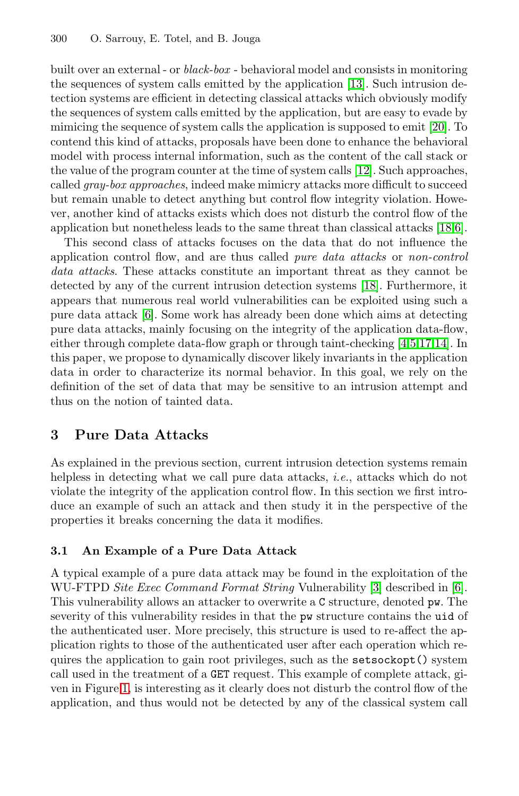built over an external - or *black-box* - behavioral model and consists in monitoring the sequences of system calls emitted by the application [\[13\]](#page-7-3). Such intrusion detection systems are efficient in detecting classical attacks which obviously modify the sequences of system calls emitted by the application, but are easy to evade by mimicing the sequence of system calls the application is supposed to emit [\[20\]](#page-7-4). To contend this kind of attacks, proposals have been done to enhance the behavioral model with process internal information, such as the content of the call stack or the value of the program counter at the time of system calls [\[12\]](#page-7-5). Such approaches, called *gray-box approaches*, indeed make mimicry attacks more difficult to succeed but remain unable to detect anything but control flow integrity violation. However, another kind of attacks exists which does not disturb the control flow of the application but nonetheless leads to the same threat than classical attacks [\[18](#page-7-6)[,6\]](#page-7-1).

This second class of attacks focuses on the data that do not influence the application control flow, and are thus called *pure data attacks* or *non-control data attacks*. These attacks constitute an important threat as they cannot be detected by any of the current intrusion detection systems [\[18\]](#page-7-6). Furthermore, it appears that numerous real world vulnerabilities can be exploited using such a pure data attack [\[6\]](#page-7-1). Some work has already been done which aims at detecting pure data attacks, mainly focusing on the integrity of the application data-flow, either through complete data-flow graph or through taint-checking [\[4](#page-6-0)[,5,](#page-6-1)[17](#page-7-7)[,14\]](#page-7-8). In this paper, we propose to dynamically discover likely invariants in the application data in order to characterize its normal behavior. In this goal, we rely on the definition of the set of data that may be sensitive to an intrusion attempt and thus on the notion of tainted data.

# <span id="page-1-0"></span>**3 Pure Data Attacks**

As explained in the previous section, current intrusion detection systems remain helpless in detecting what we call pure data attacks, *i.e.*, attacks which do not violate the integrity of the application control flow. In this section we first introduce an example of such an attack and then study it in the perspective of the properties it breaks concerning the data it modifies.

## **3.1 An Example of a Pure Data Attack**

A typical example of a pure data attack may be found in the exploitation of the WU-FTPD *Site Exec Command Format String* Vulnerability [\[3\]](#page-6-2) described in [\[6\]](#page-7-1). This vulnerability allows an attacker to overwrite a C structure, denoted pw. The severity of this vulnerability resides in that the pw structure contains the uid of the authenticated user. More precisely, this structure is used to re-affect the application rights to those of the authenticated user after each operation which requires the application to gain root privileges, such as the setsockopt() system call used in the treatment of a GET request. This example of complete attack, given in Figure [1,](#page-2-0) is interesting as it clearly does not disturb the control flow of the application, and thus would not be detected by any of the classical system call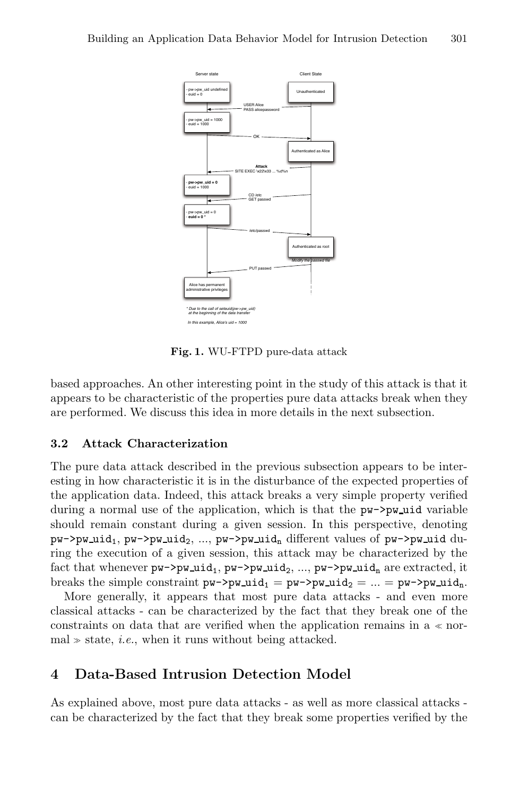

<span id="page-2-0"></span>**Fig. 1.** WU-FTPD pure-data attack

based approaches. An other interesting point in the study of this attack is that it appears to be characteristic of the properties pure data attacks break when they are performed. We discuss this idea in more details in the next subsection.

#### **3.2 Attack Characterization**

The pure data attack described in the previous subsection appears to be interesting in how characteristic it is in the disturbance of the expected properties of the application data. Indeed, this attack breaks a very simple property verified during a normal use of the application, which is that the  $pw$ ->pw uid variable should remain constant during a given session. In this perspective, denoting  $pw->pw\_uid_1, pw->pw\_uid_2, ..., pw->pw\_uid_n$  different values of  $pw->pw\_uid$  during the execution of a given session, this attack may be characterized by the fact that whenever  $pw->pw\_uid_1, pw->pw\_uid_2, ..., pw->pw\_uid_n$  are extracted, it breaks the simple constraint  $pw->pw\_uid_1 = pw->pw\_uid_2 = ... = pw->pw\_uid_n$ .

More generally, it appears that most pure data attacks - and even more classical attacks - can be characterized by the fact that they break one of the constraints on data that are verified when the application remains in  $a \ll n$ or $m$ al  $\gg$  state, *i.e.*, when it runs without being attacked.

### **4 Data-Based Intrusion Detection Model**

As explained above, most pure data attacks - as well as more classical attacks can be characterized by the fact that they break some properties verified by the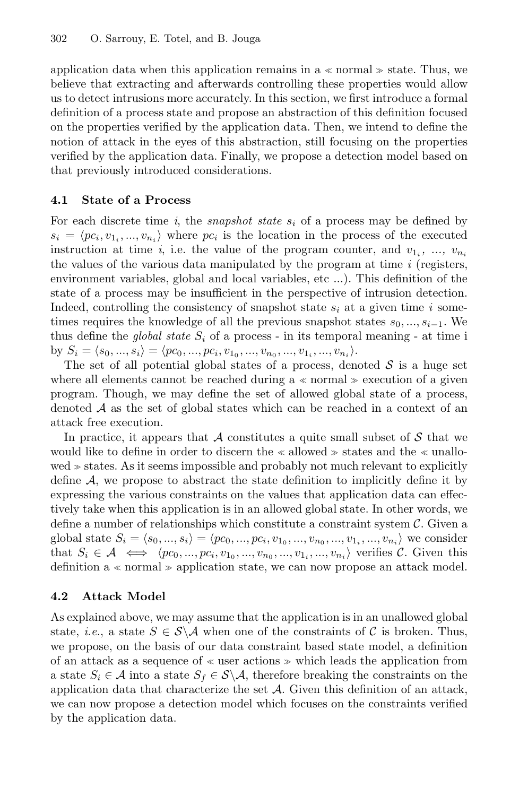application data when this application remains in  $a \ll \text{normal} \gg$  state. Thus, we believe that extracting and afterwards controlling these properties would allow us to detect intrusions more accurately. In this section, we first introduce a formal definition of a process state and propose an abstraction of this definition focused on the properties verified by the application data. Then, we intend to define the notion of attack in the eyes of this abstraction, still focusing on the properties verified by the application data. Finally, we propose a detection model based on that previously introduced considerations.

### **4.1 State of a Process**

For each discrete time *i*, the *snapshot state s<sup>i</sup>* of a process may be defined by  $s_i = \langle pc_i, v_{1_i}, ..., v_{n_i} \rangle$  where  $pc_i$  is the location in the process of the executed instruction at time *i*, i.e. the value of the program counter, and  $v_{1i}$ , ...,  $v_{n_i}$ the values of the various data manipulated by the program at time *i* (registers, environment variables, global and local variables, etc ...). This definition of the state of a process may be insufficient in the perspective of intrusion detection. Indeed, controlling the consistency of snapshot state *s<sup>i</sup>* at a given time *i* sometimes requires the knowledge of all the previous snapshot states *<sup>s</sup>*0*, ..., s<sup>i</sup>*−<sup>1</sup>. We thus define the *global state*  $S_i$  of a process - in its temporal meaning - at time i by  $S_i = \langle s_0, ..., s_i \rangle = \langle pc_0, ..., pc_i, v_{1_0}, ..., v_{n_0}, ..., v_{1_i}, ..., v_{n_i} \rangle$ .

The set of all potential global states of a process, denoted  $S$  is a huge set where all elements cannot be reached during  $a \text{ } \leq$  normal  $\text{ } \geq$  execution of a given program. Though, we may define the set of allowed global state of a process, denoted  $A$  as the set of global states which can be reached in a context of an attack free execution.

In practice, it appears that A constitutes a quite small subset of  $S$  that we would like to define in order to discern the  $\ll$  allowed  $\gg$  states and the  $\ll$  unallo $w$ ed  $\gg$  states. As it seems impossible and probably not much relevant to explicitly define  $A$ , we propose to abstract the state definition to implicitly define it by expressing the various constraints on the values that application data can effectively take when this application is in an allowed global state. In other words, we define a number of relationships which constitute a constraint system C. Given a global state  $S_i = \langle s_0, ..., s_i \rangle = \langle pc_0, ..., pc_i, v_{1_0}, ..., v_{n_0}, ..., v_{1_i}, ..., v_{n_i} \rangle$  we consider that  $S_i \in \mathcal{A} \iff \langle pc_0, ..., pc_i, v_{1_0}, ..., v_{n_0}, ..., v_{1_i}, ..., v_{n_i} \rangle$  verifies  $\mathcal{C}$ . Given this definition  $a \text{ } \leq$  normal  $\gg$  application state, we can now propose an attack model.

### <span id="page-3-0"></span>**4.2 Attack Model**

As explained above, we may assume that the application is in an unallowed global state, *i.e.*, a state  $S \in \mathcal{S} \backslash \mathcal{A}$  when one of the constraints of C is broken. Thus, we propose, on the basis of our data constraint based state model, a definition of an attack as a sequence of  $\leq$  user actions  $\geq$  which leads the application from a state  $S_i \in \mathcal{A}$  into a state  $S_f \in \mathcal{S} \backslash \mathcal{A}$ , therefore breaking the constraints on the application data that characterize the set  $A$ . Given this definition of an attack, we can now propose a detection model which focuses on the constraints verified by the application data.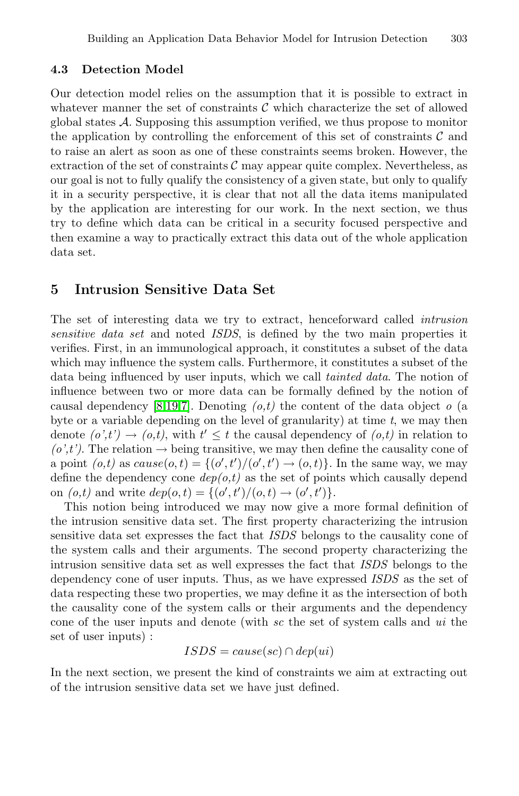#### **4.3 Detection Model**

Our detection model relies on the assumption that it is possible to extract in whatever manner the set of constraints  $\mathcal C$  which characterize the set of allowed global states  $\mathcal{A}$ . Supposing this assumption verified, we thus propose to monitor the application by controlling the enforcement of this set of constraints  $\mathcal C$  and to raise an alert as soon as one of these constraints seems broken. However, the extraction of the set of constraints  $\mathcal C$  may appear quite complex. Nevertheless, as our goal is not to fully qualify the consistency of a given state, but only to qualify it in a security perspective, it is clear that not all the data items manipulated by the application are interesting for our work. In the next section, we thus try to define which data can be critical in a security focused perspective and then examine a way to practically extract this data out of the whole application data set.

### **5 Intrusion Sensitive Data Set**

The set of interesting data we try to extract, henceforward called *intrusion sensitive data set* and noted *ISDS*, is defined by the two main properties it verifies. First, in an immunological approach, it constitutes a subset of the data which may influence the system calls. Furthermore, it constitutes a subset of the data being influenced by user inputs, which we call *tainted data*. The notion of influence between two or more data can be formally defined by the notion of causal dependency [\[8,](#page-7-9)[19,](#page-7-10)[7\]](#page-7-11). Denoting  $(o, t)$  the content of the data object  $o$  (a byte or a variable depending on the level of granularity) at time *t*, we may then denote  $(o', t') \rightarrow (o, t)$ , with  $t' \leq t$  the causal dependency of  $(o, t)$  in relation to  $(o', t')$ . The relation  $\rightarrow$  being transitive, we may then define the causality cone of a point  $(o,t)$  as  $cause(o,t) = \{(o',t')/(o',t') \rightarrow (o,t)\}$ . In the same way, we may define the dependency cone *dep(o,t)* as the set of points which causally depend on  $(o,t)$  and write  $dep(o,t) = \{(o',t')/(o,t) \rightarrow (o',t')\}.$ 

This notion being introduced we may now give a more formal definition of the intrusion sensitive data set. The first property characterizing the intrusion sensitive data set expresses the fact that *ISDS* belongs to the causality cone of the system calls and their arguments. The second property characterizing the intrusion sensitive data set as well expresses the fact that *ISDS* belongs to the dependency cone of user inputs. Thus, as we have expressed *ISDS* as the set of data respecting these two properties, we may define it as the intersection of both the causality cone of the system calls or their arguments and the dependency cone of the user inputs and denote (with *sc* the set of system calls and *ui* the set of user inputs) :

$$
ISDS = cause(se) \cap dep(ui)
$$

In the next section, we present the kind of constraints we aim at extracting out of the intrusion sensitive data set we have just defined.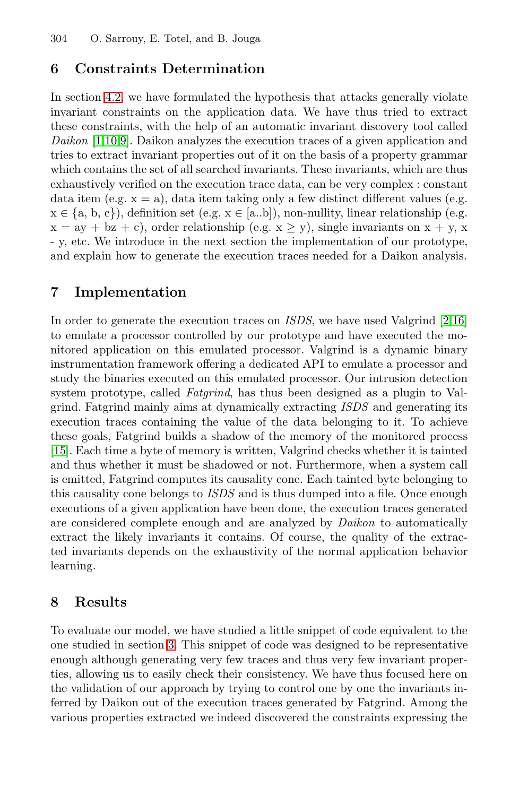### **6 Constraints Determination**

In section [4.2,](#page-3-0) we have formulated the hypothesis that attacks generally violate invariant constraints on the application data. We have thus tried to extract these constraints, with the help of an automatic invariant discovery tool called *Daikon* [\[1](#page-6-3)[,10,](#page-7-12)[9\]](#page-7-13). Daikon analyzes the execution traces of a given application and tries to extract invariant properties out of it on the basis of a property grammar which contains the set of all searched invariants. These invariants, which are thus exhaustively verified on the execution trace data, can be very complex : constant data item (e.g.  $x = a$ ), data item taking only a few distinct different values (e.g.  $x \in \{a, b, c\}$ , definition set  $(e.g. x \in [a..b])$ , non-nullity, linear relationship (e.g.  $x = ay + bz + c$ , order relationship (e.g.  $x \ge y$ ), single invariants on  $x + y$ , x - y, etc. We introduce in the next section the implementation of our prototype, and explain how to generate the execution traces needed for a Daikon analysis.

# **7 Implementation**

In order to generate the execution traces on *ISDS*, we have used Valgrind [\[2](#page-6-4)[,16\]](#page-7-14) to emulate a processor controlled by our prototype and have executed the monitored application on this emulated processor. Valgrind is a dynamic binary instrumentation framework offering a dedicated API to emulate a processor and study the binaries executed on this emulated processor. Our intrusion detection system prototype, called *Fatgrind*, has thus been designed as a plugin to Valgrind. Fatgrind mainly aims at dynamically extracting *ISDS* and generating its execution traces containing the value of the data belonging to it. To achieve these goals, Fatgrind builds a shadow of the memory of the monitored process [\[15\]](#page-7-15). Each time a byte of memory is written, Valgrind checks whether it is tainted and thus whether it must be shadowed or not. Furthermore, when a system call is emitted, Fatgrind computes its causality cone. Each tainted byte belonging to this causality cone belongs to *ISDS* and is thus dumped into a file. Once enough executions of a given application have been done, the execution traces generated are considered complete enough and are analyzed by *Daikon* to automatically extract the likely invariants it contains. Of course, the quality of the extracted invariants depends on the exhaustivity of the normal application behavior learning.

### **8 Results**

To evaluate our model, we have studied a little snippet of code equivalent to the one studied in section [3.](#page-1-0) This snippet of code was designed to be representative enough although generating very few traces and thus very few invariant properties, allowing us to easily check their consistency. We have thus focused here on the validation of our approach by trying to control one by one the invariants inferred by Daikon out of the execution traces generated by Fatgrind. Among the various properties extracted we indeed discovered the constraints expressing the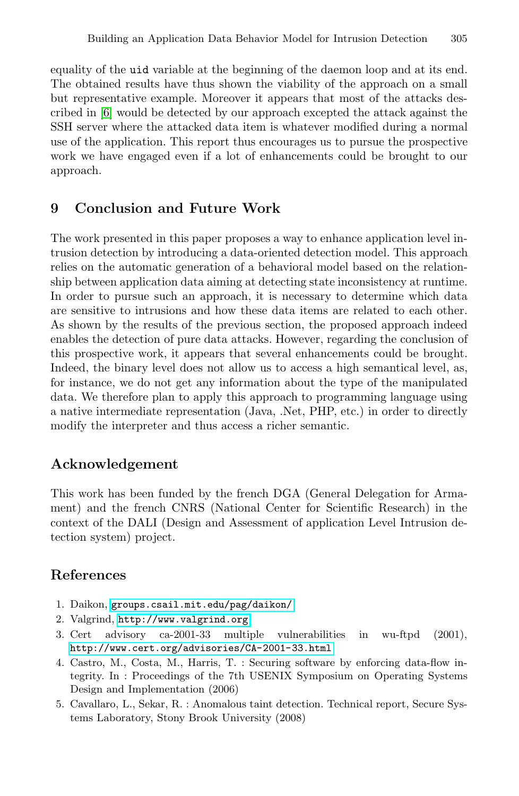equality of the uid variable at the beginning of the daemon loop and at its end. The obtained results have thus shown the viability of the approach on a small but representative example. Moreover it appears that most of the attacks described in [\[6\]](#page-7-1) would be detected by our approach excepted the attack against the SSH server where the attacked data item is whatever modified during a normal use of the application. This report thus encourages us to pursue the prospective work we have engaged even if a lot of enhancements could be brought to our approach.

### **9 Conclusion and Future Work**

The work presented in this paper proposes a way to enhance application level intrusion detection by introducing a data-oriented detection model. This approach relies on the automatic generation of a behavioral model based on the relationship between application data aiming at detecting state inconsistency at runtime. In order to pursue such an approach, it is necessary to determine which data are sensitive to intrusions and how these data items are related to each other. As shown by the results of the previous section, the proposed approach indeed enables the detection of pure data attacks. However, regarding the conclusion of this prospective work, it appears that several enhancements could be brought. Indeed, the binary level does not allow us to access a high semantical level, as, for instance, we do not get any information about the type of the manipulated data. We therefore plan to apply this approach to programming language using a native intermediate representation (Java, .Net, PHP, etc.) in order to directly modify the interpreter and thus access a richer semantic.

### **Acknowledgement**

This work has been funded by the french DGA (General Delegation for Armament) and the french CNRS (National Center for Scientific Research) in the context of the DALI (Design and Assessment of application Level Intrusion detection system) project.

### <span id="page-6-3"></span>**References**

- <span id="page-6-4"></span>1. Daikon, <groups.csail.mit.edu/pag/daikon/>
- <span id="page-6-2"></span>2. Valgrind, <http://www.valgrind.org>
- 3. Cert advisory ca-2001-33 multiple vulnerabilities in wu-ftpd (2001), <http://www.cert.org/advisories/CA-2001-33.html>
- <span id="page-6-0"></span>4. Castro, M., Costa, M., Harris, T. : Securing software by enforcing data-flow integrity. In : Proceedings of the 7th USENIX Symposium on Operating Systems Design and Implementation (2006)
- <span id="page-6-1"></span>5. Cavallaro, L., Sekar, R. : Anomalous taint detection. Technical report, Secure Systems Laboratory, Stony Brook University (2008)